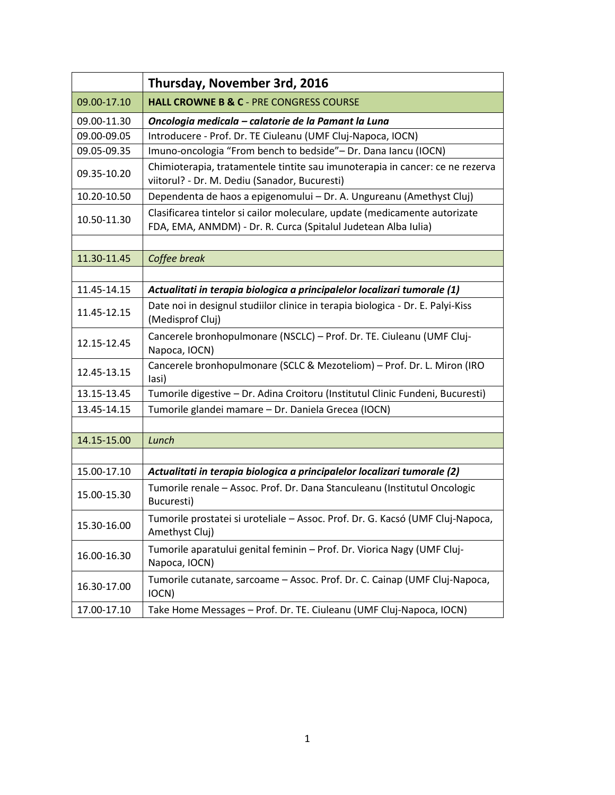|             | Thursday, November 3rd, 2016                                                                                                                 |
|-------------|----------------------------------------------------------------------------------------------------------------------------------------------|
| 09.00-17.10 | <b>HALL CROWNE B &amp; C - PRE CONGRESS COURSE</b>                                                                                           |
| 09.00-11.30 | Oncologia medicala - calatorie de la Pamant la Luna                                                                                          |
| 09.00-09.05 | Introducere - Prof. Dr. TE Ciuleanu (UMF Cluj-Napoca, IOCN)                                                                                  |
| 09.05-09.35 | Imuno-oncologia "From bench to bedside"- Dr. Dana Iancu (IOCN)                                                                               |
| 09.35-10.20 | Chimioterapia, tratamentele tintite sau imunoterapia in cancer: ce ne rezerva<br>viitorul? - Dr. M. Dediu (Sanador, Bucuresti)               |
| 10.20-10.50 | Dependenta de haos a epigenomului - Dr. A. Ungureanu (Amethyst Cluj)                                                                         |
| 10.50-11.30 | Clasificarea tintelor si cailor moleculare, update (medicamente autorizate<br>FDA, EMA, ANMDM) - Dr. R. Curca (Spitalul Judetean Alba Iulia) |
|             |                                                                                                                                              |
| 11.30-11.45 | Coffee break                                                                                                                                 |
|             |                                                                                                                                              |
| 11.45-14.15 | Actualitati in terapia biologica a principalelor localizari tumorale (1)                                                                     |
| 11.45-12.15 | Date noi in designul studiilor clinice in terapia biologica - Dr. E. Palyi-Kiss<br>(Medisprof Cluj)                                          |
| 12.15-12.45 | Cancerele bronhopulmonare (NSCLC) - Prof. Dr. TE. Ciuleanu (UMF Cluj-<br>Napoca, IOCN)                                                       |
| 12.45-13.15 | Cancerele bronhopulmonare (SCLC & Mezoteliom) - Prof. Dr. L. Miron (IRO<br>lasi)                                                             |
| 13.15-13.45 | Tumorile digestive - Dr. Adina Croitoru (Institutul Clinic Fundeni, Bucuresti)                                                               |
| 13.45-14.15 | Tumorile glandei mamare - Dr. Daniela Grecea (IOCN)                                                                                          |
|             |                                                                                                                                              |
| 14.15-15.00 | Lunch                                                                                                                                        |
|             |                                                                                                                                              |
| 15.00-17.10 | Actualitati in terapia biologica a principalelor localizari tumorale (2)                                                                     |
| 15.00-15.30 | Tumorile renale - Assoc. Prof. Dr. Dana Stanculeanu (Institutul Oncologic<br>Bucuresti)                                                      |
| 15.30-16.00 | Tumorile prostatei si uroteliale - Assoc. Prof. Dr. G. Kacsó (UMF Cluj-Napoca,<br>Amethyst Cluj)                                             |
| 16.00-16.30 | Tumorile aparatului genital feminin - Prof. Dr. Viorica Nagy (UMF Cluj-<br>Napoca, IOCN)                                                     |
| 16.30-17.00 | Tumorile cutanate, sarcoame - Assoc. Prof. Dr. C. Cainap (UMF Cluj-Napoca,<br>IOCN)                                                          |
| 17.00-17.10 | Take Home Messages - Prof. Dr. TE. Ciuleanu (UMF Cluj-Napoca, IOCN)                                                                          |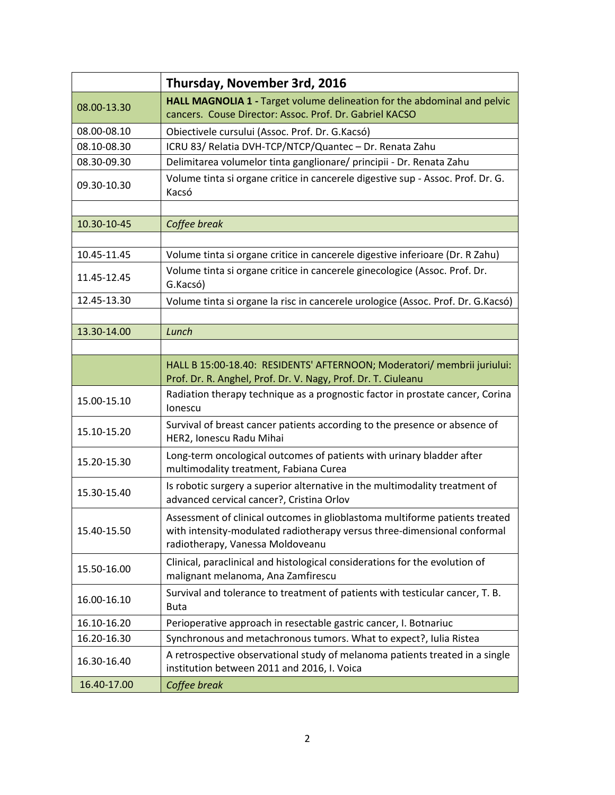|             | Thursday, November 3rd, 2016                                                                                                                                                                |
|-------------|---------------------------------------------------------------------------------------------------------------------------------------------------------------------------------------------|
| 08.00-13.30 | HALL MAGNOLIA 1 - Target volume delineation for the abdominal and pelvic<br>cancers. Couse Director: Assoc. Prof. Dr. Gabriel KACSO                                                         |
| 08.00-08.10 | Obiectivele cursului (Assoc. Prof. Dr. G.Kacsó)                                                                                                                                             |
| 08.10-08.30 | ICRU 83/ Relatia DVH-TCP/NTCP/Quantec - Dr. Renata Zahu                                                                                                                                     |
| 08.30-09.30 | Delimitarea volumelor tinta ganglionare/ principii - Dr. Renata Zahu                                                                                                                        |
| 09.30-10.30 | Volume tinta si organe critice in cancerele digestive sup - Assoc. Prof. Dr. G.<br>Kacsó                                                                                                    |
| 10.30-10-45 | Coffee break                                                                                                                                                                                |
|             |                                                                                                                                                                                             |
| 10.45-11.45 | Volume tinta si organe critice in cancerele digestive inferioare (Dr. R Zahu)                                                                                                               |
| 11.45-12.45 | Volume tinta si organe critice in cancerele ginecologice (Assoc. Prof. Dr.<br>G.Kacsó)                                                                                                      |
| 12.45-13.30 | Volume tinta si organe la risc in cancerele urologice (Assoc. Prof. Dr. G.Kacsó)                                                                                                            |
|             |                                                                                                                                                                                             |
| 13.30-14.00 | Lunch                                                                                                                                                                                       |
|             |                                                                                                                                                                                             |
|             | HALL B 15:00-18.40: RESIDENTS' AFTERNOON; Moderatori/ membrii juriului:<br>Prof. Dr. R. Anghel, Prof. Dr. V. Nagy, Prof. Dr. T. Ciuleanu                                                    |
| 15.00-15.10 | Radiation therapy technique as a prognostic factor in prostate cancer, Corina<br>lonescu                                                                                                    |
| 15.10-15.20 | Survival of breast cancer patients according to the presence or absence of<br>HER2, Ionescu Radu Mihai                                                                                      |
| 15.20-15.30 | Long-term oncological outcomes of patients with urinary bladder after<br>multimodality treatment, Fabiana Curea                                                                             |
| 15.30-15.40 | Is robotic surgery a superior alternative in the multimodality treatment of<br>advanced cervical cancer?, Cristina Orlov                                                                    |
| 15.40-15.50 | Assessment of clinical outcomes in glioblastoma multiforme patients treated<br>with intensity-modulated radiotherapy versus three-dimensional conformal<br>radiotherapy, Vanessa Moldoveanu |
| 15.50-16.00 | Clinical, paraclinical and histological considerations for the evolution of<br>malignant melanoma, Ana Zamfirescu                                                                           |
| 16.00-16.10 | Survival and tolerance to treatment of patients with testicular cancer, T. B.<br><b>Buta</b>                                                                                                |
| 16.10-16.20 | Perioperative approach in resectable gastric cancer, I. Botnariuc                                                                                                                           |
| 16.20-16.30 | Synchronous and metachronous tumors. What to expect?, Iulia Ristea                                                                                                                          |
| 16.30-16.40 | A retrospective observational study of melanoma patients treated in a single<br>institution between 2011 and 2016, I. Voica                                                                 |
| 16.40-17.00 | Coffee break                                                                                                                                                                                |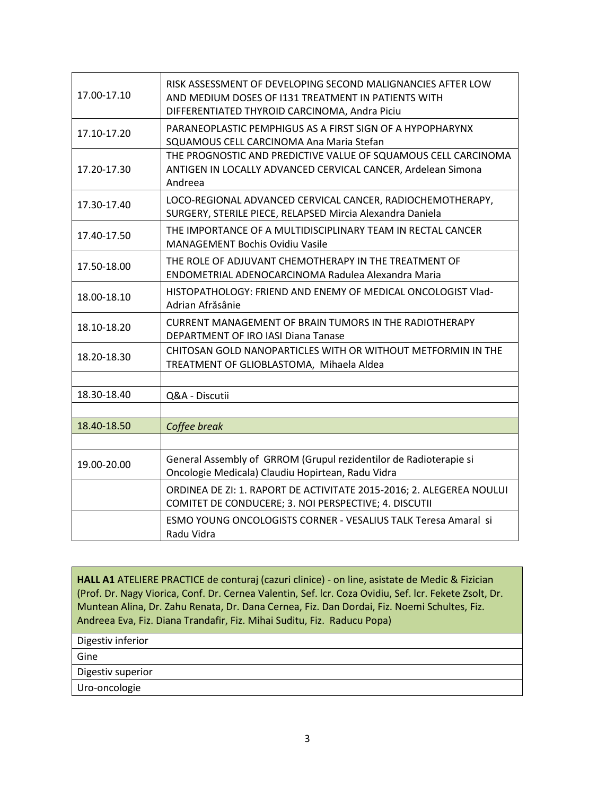| 17.00-17.10 | RISK ASSESSMENT OF DEVELOPING SECOND MALIGNANCIES AFTER LOW<br>AND MEDIUM DOSES OF 1131 TREATMENT IN PATIENTS WITH<br>DIFFERENTIATED THYROID CARCINOMA, Andra Piciu |
|-------------|---------------------------------------------------------------------------------------------------------------------------------------------------------------------|
| 17.10-17.20 | PARANEOPLASTIC PEMPHIGUS AS A FIRST SIGN OF A HYPOPHARYNX<br>SQUAMOUS CELL CARCINOMA Ana Maria Stefan                                                               |
| 17.20-17.30 | THE PROGNOSTIC AND PREDICTIVE VALUE OF SQUAMOUS CELL CARCINOMA<br>ANTIGEN IN LOCALLY ADVANCED CERVICAL CANCER, Ardelean Simona<br>Andreea                           |
| 17.30-17.40 | LOCO-REGIONAL ADVANCED CERVICAL CANCER, RADIOCHEMOTHERAPY,<br>SURGERY, STERILE PIECE, RELAPSED Mircia Alexandra Daniela                                             |
| 17.40-17.50 | THE IMPORTANCE OF A MULTIDISCIPLINARY TEAM IN RECTAL CANCER<br>MANAGEMENT Bochis Ovidiu Vasile                                                                      |
| 17.50-18.00 | THE ROLE OF ADJUVANT CHEMOTHERAPY IN THE TREATMENT OF<br>ENDOMETRIAL ADENOCARCINOMA Radulea Alexandra Maria                                                         |
| 18.00-18.10 | HISTOPATHOLOGY: FRIEND AND ENEMY OF MEDICAL ONCOLOGIST Vlad-<br>Adrian Afrăsânie                                                                                    |
| 18.10-18.20 | <b>CURRENT MANAGEMENT OF BRAIN TUMORS IN THE RADIOTHERAPY</b><br>DEPARTMENT OF IRO IASI Diana Tanase                                                                |
| 18.20-18.30 | CHITOSAN GOLD NANOPARTICLES WITH OR WITHOUT METFORMIN IN THE<br>TREATMENT OF GLIOBLASTOMA, Mihaela Aldea                                                            |
|             |                                                                                                                                                                     |
| 18.30-18.40 | Q&A - Discutii                                                                                                                                                      |
|             |                                                                                                                                                                     |
| 18.40-18.50 | Coffee break                                                                                                                                                        |
| 19.00-20.00 | General Assembly of GRROM (Grupul rezidentilor de Radioterapie si<br>Oncologie Medicala) Claudiu Hopirtean, Radu Vidra                                              |
|             | ORDINEA DE ZI: 1. RAPORT DE ACTIVITATE 2015-2016; 2. ALEGEREA NOULUI<br>COMITET DE CONDUCERE; 3. NOI PERSPECTIVE; 4. DISCUTII                                       |
|             | ESMO YOUNG ONCOLOGISTS CORNER - VESALIUS TALK Teresa Amaral si<br>Radu Vidra                                                                                        |

**HALL A1** ATELIERE PRACTICE de conturaj (cazuri clinice) - on line, asistate de Medic & Fizician (Prof. Dr. Nagy Viorica, Conf. Dr. Cernea Valentin, Sef. lcr. Coza Ovidiu, Sef. lcr. Fekete Zsolt, Dr. Muntean Alina, Dr. Zahu Renata, Dr. Dana Cernea, Fiz. Dan Dordai, Fiz. Noemi Schultes, Fiz. Andreea Eva, Fiz. Diana Trandafir, Fiz. Mihai Suditu, Fiz. Raducu Popa)

Digestiv inferior

Gine

Digestiv superior

Uro-oncologie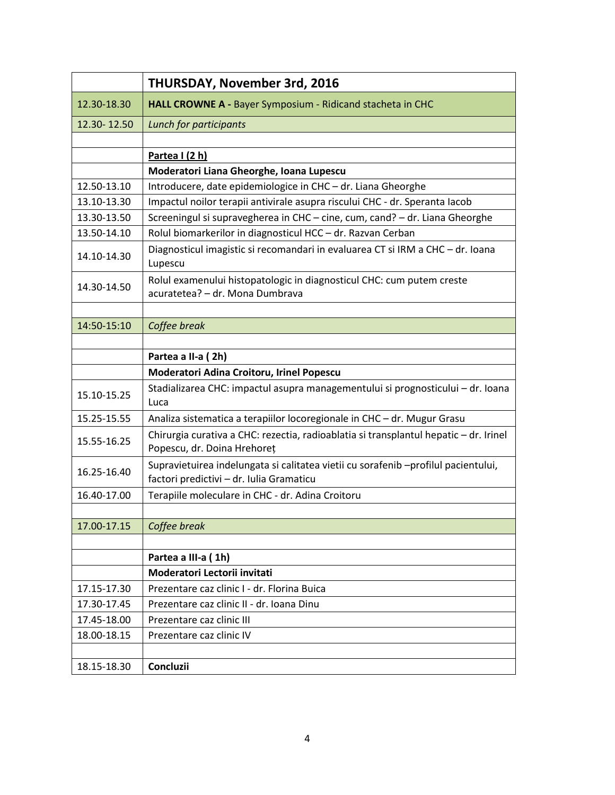|             | <b>THURSDAY, November 3rd, 2016</b>                                                                                            |
|-------------|--------------------------------------------------------------------------------------------------------------------------------|
| 12.30-18.30 | HALL CROWNE A - Bayer Symposium - Ridicand stacheta in CHC                                                                     |
| 12.30-12.50 | Lunch for participants                                                                                                         |
|             |                                                                                                                                |
|             | Partea I (2 h)                                                                                                                 |
|             | Moderatori Liana Gheorghe, Ioana Lupescu                                                                                       |
| 12.50-13.10 | Introducere, date epidemiologice in CHC - dr. Liana Gheorghe                                                                   |
| 13.10-13.30 | Impactul noilor terapii antivirale asupra riscului CHC - dr. Speranta Iacob                                                    |
| 13.30-13.50 | Screeningul si supravegherea in CHC - cine, cum, cand? - dr. Liana Gheorghe                                                    |
| 13.50-14.10 | Rolul biomarkerilor in diagnosticul HCC - dr. Razvan Cerban                                                                    |
| 14.10-14.30 | Diagnosticul imagistic si recomandari in evaluarea CT si IRM a CHC - dr. Ioana<br>Lupescu                                      |
| 14.30-14.50 | Rolul examenului histopatologic in diagnosticul CHC: cum putem creste<br>acuratetea? - dr. Mona Dumbrava                       |
|             |                                                                                                                                |
| 14:50-15:10 | Coffee break                                                                                                                   |
|             |                                                                                                                                |
|             | Partea a II-a (2h)                                                                                                             |
|             | Moderatori Adina Croitoru, Irinel Popescu                                                                                      |
| 15.10-15.25 | Stadializarea CHC: impactul asupra managementului si prognosticului - dr. Ioana<br>Luca                                        |
| 15.25-15.55 | Analiza sistematica a terapiilor locoregionale in CHC - dr. Mugur Grasu                                                        |
| 15.55-16.25 | Chirurgia curativa a CHC: rezectia, radioablatia si transplantul hepatic - dr. Irinel<br>Popescu, dr. Doina Hrehoreț           |
| 16.25-16.40 | Supravietuirea indelungata si calitatea vietii cu sorafenib -profilul pacientului,<br>factori predictivi - dr. Iulia Gramaticu |
| 16.40-17.00 | Terapiile moleculare in CHC - dr. Adina Croitoru                                                                               |
|             |                                                                                                                                |
| 17.00-17.15 | Coffee break                                                                                                                   |
|             |                                                                                                                                |
|             | Partea a III-a (1h)                                                                                                            |
|             | Moderatori Lectorii invitati                                                                                                   |
| 17.15-17.30 | Prezentare caz clinic I - dr. Florina Buica                                                                                    |
| 17.30-17.45 | Prezentare caz clinic II - dr. Ioana Dinu                                                                                      |
| 17.45-18.00 | Prezentare caz clinic III                                                                                                      |
| 18.00-18.15 | Prezentare caz clinic IV                                                                                                       |
|             |                                                                                                                                |
| 18.15-18.30 | Concluzii                                                                                                                      |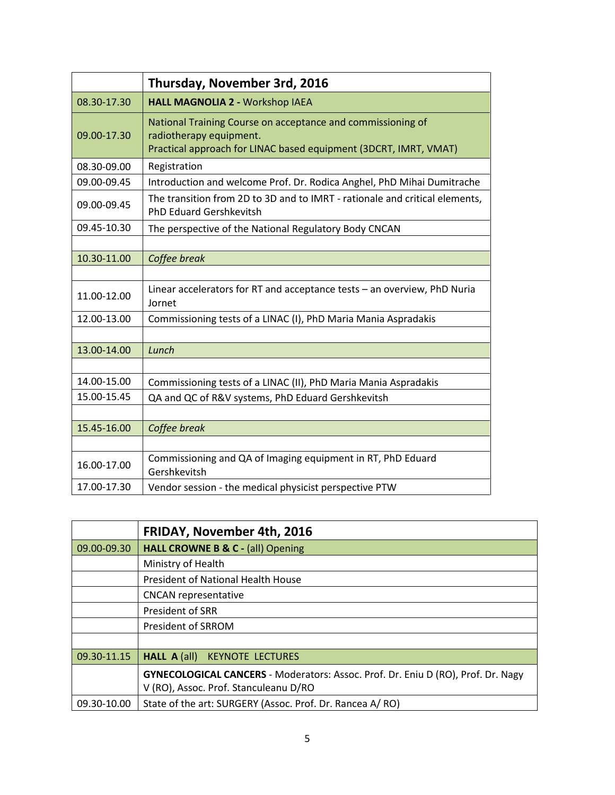|             | Thursday, November 3rd, 2016                                                                                                                               |
|-------------|------------------------------------------------------------------------------------------------------------------------------------------------------------|
| 08.30-17.30 | <b>HALL MAGNOLIA 2 - Workshop IAEA</b>                                                                                                                     |
| 09.00-17.30 | National Training Course on acceptance and commissioning of<br>radiotherapy equipment.<br>Practical approach for LINAC based equipment (3DCRT, IMRT, VMAT) |
| 08.30-09.00 | Registration                                                                                                                                               |
| 09.00-09.45 | Introduction and welcome Prof. Dr. Rodica Anghel, PhD Mihai Dumitrache                                                                                     |
| 09.00-09.45 | The transition from 2D to 3D and to IMRT - rationale and critical elements,<br><b>PhD Eduard Gershkevitsh</b>                                              |
| 09.45-10.30 | The perspective of the National Regulatory Body CNCAN                                                                                                      |
|             |                                                                                                                                                            |
| 10.30-11.00 | Coffee break                                                                                                                                               |
|             |                                                                                                                                                            |
| 11.00-12.00 | Linear accelerators for RT and acceptance tests - an overview, PhD Nuria<br>Jornet                                                                         |
| 12.00-13.00 | Commissioning tests of a LINAC (I), PhD Maria Mania Aspradakis                                                                                             |
|             |                                                                                                                                                            |
| 13.00-14.00 | Lunch                                                                                                                                                      |
|             |                                                                                                                                                            |
| 14.00-15.00 | Commissioning tests of a LINAC (II), PhD Maria Mania Aspradakis                                                                                            |
| 15.00-15.45 | QA and QC of R&V systems, PhD Eduard Gershkevitsh                                                                                                          |
|             |                                                                                                                                                            |
| 15.45-16.00 | Coffee break                                                                                                                                               |
|             |                                                                                                                                                            |
| 16.00-17.00 | Commissioning and QA of Imaging equipment in RT, PhD Eduard<br>Gershkevitsh                                                                                |
| 17.00-17.30 | Vendor session - the medical physicist perspective PTW                                                                                                     |

|             | <b>FRIDAY, November 4th, 2016</b>                                                                                         |
|-------------|---------------------------------------------------------------------------------------------------------------------------|
| 09.00-09.30 | HALL CROWNE B & C - (all) Opening                                                                                         |
|             | Ministry of Health                                                                                                        |
|             | President of National Health House                                                                                        |
|             | <b>CNCAN</b> representative                                                                                               |
|             | President of SRR                                                                                                          |
|             | President of SRROM                                                                                                        |
|             |                                                                                                                           |
| 09.30-11.15 | <b>KEYNOTE LECTURES</b><br><b>HALL A <math>\text{(all)}</math></b>                                                        |
|             | GYNECOLOGICAL CANCERS - Moderators: Assoc. Prof. Dr. Eniu D (RO), Prof. Dr. Nagy<br>V (RO), Assoc. Prof. Stanculeanu D/RO |
| 09.30-10.00 | State of the art: SURGERY (Assoc. Prof. Dr. Rancea A/RO)                                                                  |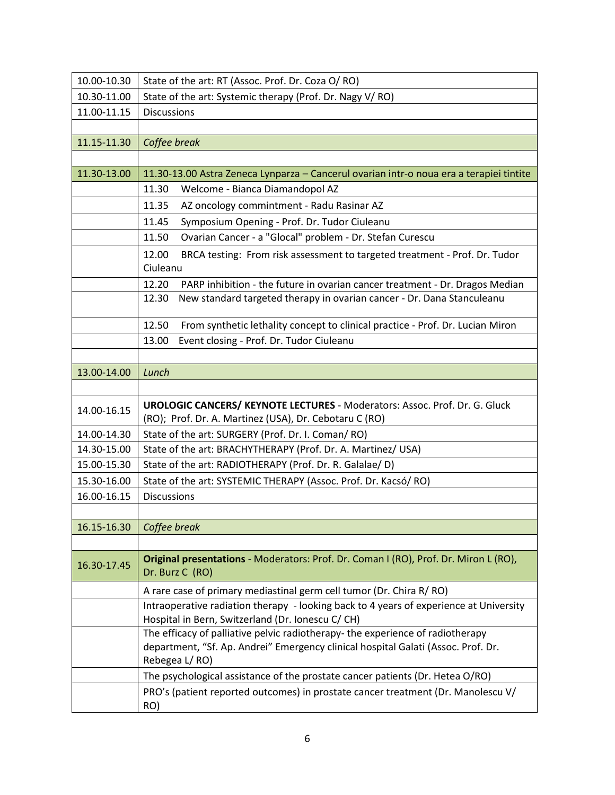| 10.00-10.30 | State of the art: RT (Assoc. Prof. Dr. Coza O/ RO)                                                                                                                                   |
|-------------|--------------------------------------------------------------------------------------------------------------------------------------------------------------------------------------|
| 10.30-11.00 | State of the art: Systemic therapy (Prof. Dr. Nagy V/RO)                                                                                                                             |
| 11.00-11.15 | <b>Discussions</b>                                                                                                                                                                   |
|             |                                                                                                                                                                                      |
| 11.15-11.30 | Coffee break                                                                                                                                                                         |
|             |                                                                                                                                                                                      |
| 11.30-13.00 | 11.30-13.00 Astra Zeneca Lynparza - Cancerul ovarian intr-o noua era a terapiei tintite                                                                                              |
|             | 11.30<br>Welcome - Bianca Diamandopol AZ                                                                                                                                             |
|             | 11.35<br>AZ oncology commintment - Radu Rasinar AZ                                                                                                                                   |
|             | Symposium Opening - Prof. Dr. Tudor Ciuleanu<br>11.45                                                                                                                                |
|             | Ovarian Cancer - a "Glocal" problem - Dr. Stefan Curescu<br>11.50                                                                                                                    |
|             | 12.00<br>BRCA testing: From risk assessment to targeted treatment - Prof. Dr. Tudor<br>Ciuleanu                                                                                      |
|             | 12.20<br>PARP inhibition - the future in ovarian cancer treatment - Dr. Dragos Median                                                                                                |
|             | New standard targeted therapy in ovarian cancer - Dr. Dana Stanculeanu<br>12.30                                                                                                      |
|             | 12.50<br>From synthetic lethality concept to clinical practice - Prof. Dr. Lucian Miron                                                                                              |
|             | Event closing - Prof. Dr. Tudor Ciuleanu<br>13.00                                                                                                                                    |
|             |                                                                                                                                                                                      |
| 13.00-14.00 | Lunch                                                                                                                                                                                |
|             |                                                                                                                                                                                      |
| 14.00-16.15 | <b>UROLOGIC CANCERS/ KEYNOTE LECTURES - Moderators: Assoc. Prof. Dr. G. Gluck</b><br>(RO); Prof. Dr. A. Martinez (USA), Dr. Cebotaru C (RO)                                          |
| 14.00-14.30 | State of the art: SURGERY (Prof. Dr. I. Coman/RO)                                                                                                                                    |
| 14.30-15.00 | State of the art: BRACHYTHERAPY (Prof. Dr. A. Martinez/ USA)                                                                                                                         |
| 15.00-15.30 | State of the art: RADIOTHERAPY (Prof. Dr. R. Galalae/D)                                                                                                                              |
| 15.30-16.00 | State of the art: SYSTEMIC THERAPY (Assoc. Prof. Dr. Kacsó/ RO)                                                                                                                      |
| 16.00-16.15 | <b>Discussions</b>                                                                                                                                                                   |
|             |                                                                                                                                                                                      |
| 16.15-16.30 | Coffee break                                                                                                                                                                         |
|             |                                                                                                                                                                                      |
| 16.30-17.45 | Original presentations - Moderators: Prof. Dr. Coman I (RO), Prof. Dr. Miron L (RO),<br>Dr. Burz C (RO)                                                                              |
|             | A rare case of primary mediastinal germ cell tumor (Dr. Chira R/ RO)                                                                                                                 |
|             | Intraoperative radiation therapy - looking back to 4 years of experience at University<br>Hospital in Bern, Switzerland (Dr. Ionescu C/ CH)                                          |
|             | The efficacy of palliative pelvic radiotherapy- the experience of radiotherapy<br>department, "Sf. Ap. Andrei" Emergency clinical hospital Galati (Assoc. Prof. Dr.<br>Rebegea L/RO) |
|             | The psychological assistance of the prostate cancer patients (Dr. Hetea O/RO)                                                                                                        |
|             | PRO's (patient reported outcomes) in prostate cancer treatment (Dr. Manolescu V/<br>RO)                                                                                              |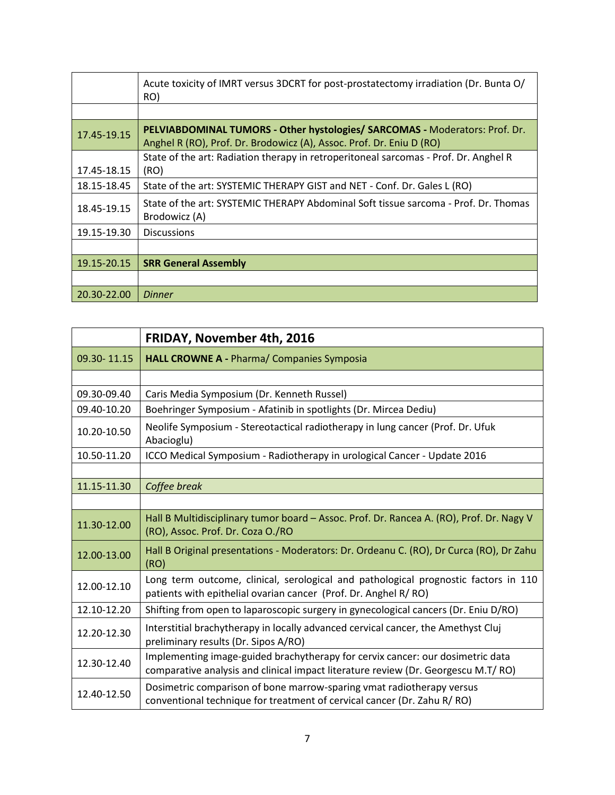|             | Acute toxicity of IMRT versus 3DCRT for post-prostatectomy irradiation (Dr. Bunta O/<br>RO)                                                         |
|-------------|-----------------------------------------------------------------------------------------------------------------------------------------------------|
|             |                                                                                                                                                     |
| 17.45-19.15 | PELVIABDOMINAL TUMORS - Other hystologies/ SARCOMAS - Moderators: Prof. Dr.<br>Anghel R (RO), Prof. Dr. Brodowicz (A), Assoc. Prof. Dr. Eniu D (RO) |
|             | State of the art: Radiation therapy in retroperitoneal sarcomas - Prof. Dr. Anghel R                                                                |
| 17.45-18.15 | (RO)                                                                                                                                                |
| 18.15-18.45 | State of the art: SYSTEMIC THERAPY GIST and NET - Conf. Dr. Gales L (RO)                                                                            |
| 18.45-19.15 | State of the art: SYSTEMIC THERAPY Abdominal Soft tissue sarcoma - Prof. Dr. Thomas<br>Brodowicz (A)                                                |
| 19.15-19.30 | <b>Discussions</b>                                                                                                                                  |
|             |                                                                                                                                                     |
| 19.15-20.15 | <b>SRR General Assembly</b>                                                                                                                         |
|             |                                                                                                                                                     |
| 20.30-22.00 | <b>Dinner</b>                                                                                                                                       |

|             | <b>FRIDAY, November 4th, 2016</b>                                                                                                                                   |
|-------------|---------------------------------------------------------------------------------------------------------------------------------------------------------------------|
| 09.30-11.15 | <b>HALL CROWNE A - Pharma/ Companies Symposia</b>                                                                                                                   |
|             |                                                                                                                                                                     |
| 09.30-09.40 | Caris Media Symposium (Dr. Kenneth Russel)                                                                                                                          |
| 09.40-10.20 | Boehringer Symposium - Afatinib in spotlights (Dr. Mircea Dediu)                                                                                                    |
| 10.20-10.50 | Neolife Symposium - Stereotactical radiotherapy in lung cancer (Prof. Dr. Ufuk<br>Abacioglu)                                                                        |
| 10.50-11.20 | ICCO Medical Symposium - Radiotherapy in urological Cancer - Update 2016                                                                                            |
|             |                                                                                                                                                                     |
| 11.15-11.30 | Coffee break                                                                                                                                                        |
|             |                                                                                                                                                                     |
| 11.30-12.00 | Hall B Multidisciplinary tumor board - Assoc. Prof. Dr. Rancea A. (RO), Prof. Dr. Nagy V<br>(RO), Assoc. Prof. Dr. Coza O./RO                                       |
| 12.00-13.00 | Hall B Original presentations - Moderators: Dr. Ordeanu C. (RO), Dr Curca (RO), Dr Zahu<br>(RO)                                                                     |
| 12.00-12.10 | Long term outcome, clinical, serological and pathological prognostic factors in 110<br>patients with epithelial ovarian cancer (Prof. Dr. Anghel R/RO)              |
| 12.10-12.20 | Shifting from open to laparoscopic surgery in gynecological cancers (Dr. Eniu D/RO)                                                                                 |
| 12.20-12.30 | Interstitial brachytherapy in locally advanced cervical cancer, the Amethyst Cluj<br>preliminary results (Dr. Sipos A/RO)                                           |
| 12.30-12.40 | Implementing image-guided brachytherapy for cervix cancer: our dosimetric data<br>comparative analysis and clinical impact literature review (Dr. Georgescu M.T/RO) |
| 12.40-12.50 | Dosimetric comparison of bone marrow-sparing vmat radiotherapy versus<br>conventional technique for treatment of cervical cancer (Dr. Zahu R/RO)                    |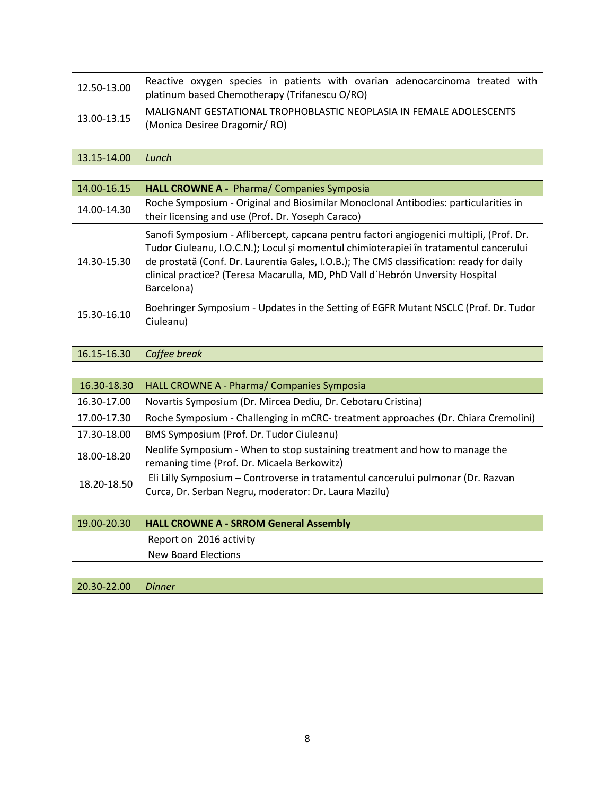| 12.50-13.00 | Reactive oxygen species in patients with ovarian adenocarcinoma treated with<br>platinum based Chemotherapy (Trifanescu O/RO)                                                                                                                                                                                                                                                |
|-------------|------------------------------------------------------------------------------------------------------------------------------------------------------------------------------------------------------------------------------------------------------------------------------------------------------------------------------------------------------------------------------|
| 13.00-13.15 | MALIGNANT GESTATIONAL TROPHOBLASTIC NEOPLASIA IN FEMALE ADOLESCENTS<br>(Monica Desiree Dragomir/RO)                                                                                                                                                                                                                                                                          |
|             |                                                                                                                                                                                                                                                                                                                                                                              |
| 13.15-14.00 | Lunch                                                                                                                                                                                                                                                                                                                                                                        |
|             |                                                                                                                                                                                                                                                                                                                                                                              |
| 14.00-16.15 | HALL CROWNE A - Pharma/ Companies Symposia                                                                                                                                                                                                                                                                                                                                   |
| 14.00-14.30 | Roche Symposium - Original and Biosimilar Monoclonal Antibodies: particularities in<br>their licensing and use (Prof. Dr. Yoseph Caraco)                                                                                                                                                                                                                                     |
| 14.30-15.30 | Sanofi Symposium - Aflibercept, capcana pentru factori angiogenici multipli, (Prof. Dr.<br>Tudor Ciuleanu, I.O.C.N.); Locul și momentul chimioterapiei în tratamentul cancerului<br>de prostată (Conf. Dr. Laurentia Gales, I.O.B.); The CMS classification: ready for daily<br>clinical practice? (Teresa Macarulla, MD, PhD Vall d'Hebrón Unversity Hospital<br>Barcelona) |
| 15.30-16.10 | Boehringer Symposium - Updates in the Setting of EGFR Mutant NSCLC (Prof. Dr. Tudor<br>Ciuleanu)                                                                                                                                                                                                                                                                             |
|             |                                                                                                                                                                                                                                                                                                                                                                              |
| 16.15-16.30 | Coffee break                                                                                                                                                                                                                                                                                                                                                                 |
|             |                                                                                                                                                                                                                                                                                                                                                                              |
| 16.30-18.30 | HALL CROWNE A - Pharma/ Companies Symposia                                                                                                                                                                                                                                                                                                                                   |
| 16.30-17.00 | Novartis Symposium (Dr. Mircea Dediu, Dr. Cebotaru Cristina)                                                                                                                                                                                                                                                                                                                 |
| 17.00-17.30 | Roche Symposium - Challenging in mCRC- treatment approaches (Dr. Chiara Cremolini)                                                                                                                                                                                                                                                                                           |
| 17.30-18.00 | BMS Symposium (Prof. Dr. Tudor Ciuleanu)                                                                                                                                                                                                                                                                                                                                     |
| 18.00-18.20 | Neolife Symposium - When to stop sustaining treatment and how to manage the<br>remaning time (Prof. Dr. Micaela Berkowitz)                                                                                                                                                                                                                                                   |
| 18.20-18.50 | Eli Lilly Symposium - Controverse in tratamentul cancerului pulmonar (Dr. Razvan<br>Curca, Dr. Serban Negru, moderator: Dr. Laura Mazilu)                                                                                                                                                                                                                                    |
|             |                                                                                                                                                                                                                                                                                                                                                                              |
| 19.00-20.30 | <b>HALL CROWNE A - SRROM General Assembly</b>                                                                                                                                                                                                                                                                                                                                |
|             | Report on 2016 activity                                                                                                                                                                                                                                                                                                                                                      |
|             | <b>New Board Elections</b>                                                                                                                                                                                                                                                                                                                                                   |
|             |                                                                                                                                                                                                                                                                                                                                                                              |
| 20.30-22.00 | <b>Dinner</b>                                                                                                                                                                                                                                                                                                                                                                |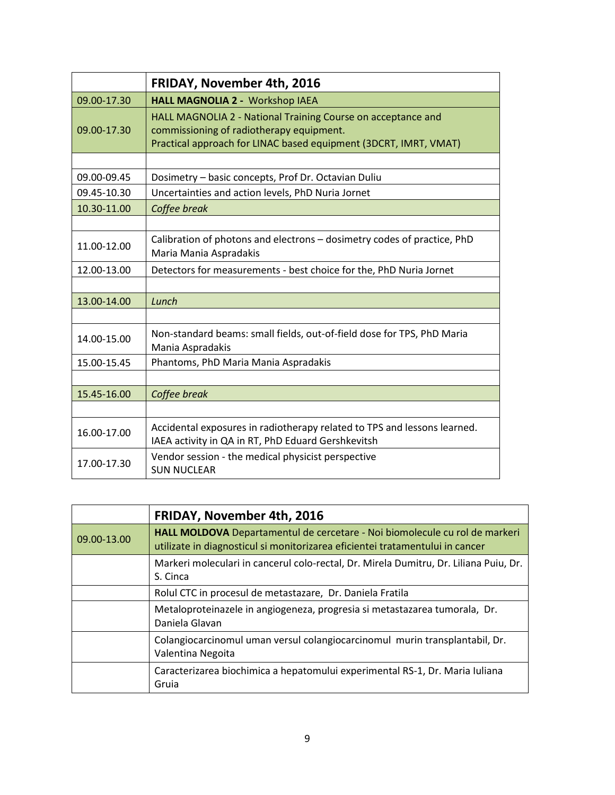|             | <b>FRIDAY, November 4th, 2016</b>                                                                                                                                            |
|-------------|------------------------------------------------------------------------------------------------------------------------------------------------------------------------------|
| 09.00-17.30 | <b>HALL MAGNOLIA 2 - Workshop IAEA</b>                                                                                                                                       |
| 09.00-17.30 | HALL MAGNOLIA 2 - National Training Course on acceptance and<br>commissioning of radiotherapy equipment.<br>Practical approach for LINAC based equipment (3DCRT, IMRT, VMAT) |
|             |                                                                                                                                                                              |
| 09.00-09.45 | Dosimetry - basic concepts, Prof Dr. Octavian Duliu                                                                                                                          |
| 09.45-10.30 | Uncertainties and action levels, PhD Nuria Jornet                                                                                                                            |
| 10.30-11.00 | Coffee break                                                                                                                                                                 |
|             |                                                                                                                                                                              |
| 11.00-12.00 | Calibration of photons and electrons - dosimetry codes of practice, PhD<br>Maria Mania Aspradakis                                                                            |
| 12.00-13.00 | Detectors for measurements - best choice for the, PhD Nuria Jornet                                                                                                           |
|             |                                                                                                                                                                              |
| 13.00-14.00 | Lunch                                                                                                                                                                        |
|             |                                                                                                                                                                              |
| 14.00-15.00 | Non-standard beams: small fields, out-of-field dose for TPS, PhD Maria<br>Mania Aspradakis                                                                                   |
| 15.00-15.45 | Phantoms, PhD Maria Mania Aspradakis                                                                                                                                         |
|             |                                                                                                                                                                              |
| 15.45-16.00 | Coffee break                                                                                                                                                                 |
|             |                                                                                                                                                                              |
| 16.00-17.00 | Accidental exposures in radiotherapy related to TPS and lessons learned.<br>IAEA activity in QA in RT, PhD Eduard Gershkevitsh                                               |
| 17.00-17.30 | Vendor session - the medical physicist perspective<br><b>SUN NUCLEAR</b>                                                                                                     |

|             | <b>FRIDAY, November 4th, 2016</b>                                                                                                                            |
|-------------|--------------------------------------------------------------------------------------------------------------------------------------------------------------|
| 09.00-13.00 | HALL MOLDOVA Departamentul de cercetare - Noi biomolecule cu rol de markeri<br>utilizate in diagnosticul si monitorizarea eficientei tratamentului in cancer |
|             | Markeri moleculari in cancerul colo-rectal, Dr. Mirela Dumitru, Dr. Liliana Puiu, Dr.<br>S. Cinca                                                            |
|             | Rolul CTC in procesul de metastazare, Dr. Daniela Fratila                                                                                                    |
|             | Metaloproteinazele in angiogeneza, progresia si metastazarea tumorala, Dr.<br>Daniela Glavan                                                                 |
|             | Colangiocarcinomul uman versul colangiocarcinomul murin transplantabil, Dr.<br>Valentina Negoita                                                             |
|             | Caracterizarea biochimica a hepatomului experimental RS-1, Dr. Maria Iuliana<br>Gruia                                                                        |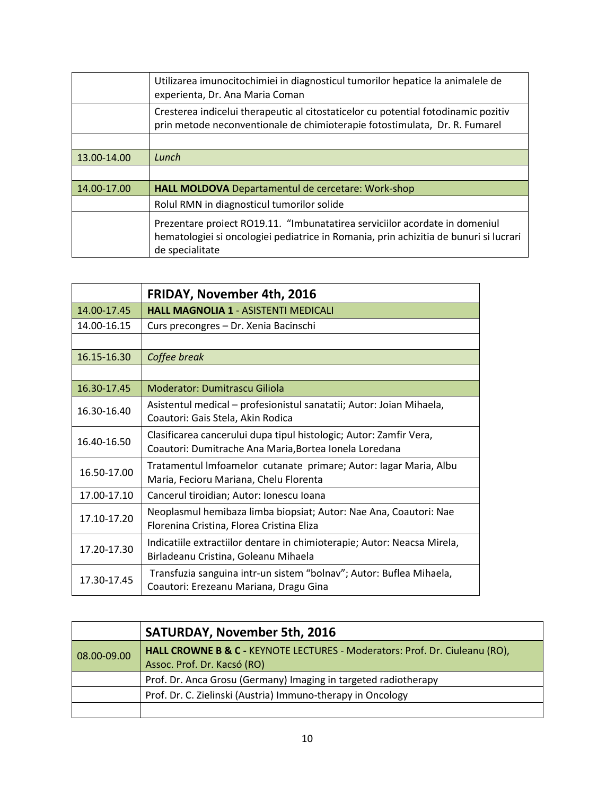|             | Utilizarea imunocitochimiei in diagnosticul tumorilor hepatice la animalele de<br>experienta, Dr. Ana Maria Coman                                                                       |
|-------------|-----------------------------------------------------------------------------------------------------------------------------------------------------------------------------------------|
|             | Cresterea indicelui therapeutic al citostaticelor cu potential fotodinamic pozitiv<br>prin metode neconventionale de chimioterapie fotostimulata, Dr. R. Fumarel                        |
|             |                                                                                                                                                                                         |
| 13.00-14.00 | Lunch                                                                                                                                                                                   |
|             |                                                                                                                                                                                         |
| 14.00-17.00 | <b>HALL MOLDOVA</b> Departamentul de cercetare: Work-shop                                                                                                                               |
|             | Rolul RMN in diagnosticul tumorilor solide                                                                                                                                              |
|             | Prezentare proiect RO19.11. "Imbunatatirea serviciilor acordate in domeniul<br>hematologiei si oncologiei pediatrice in Romania, prin achizitia de bunuri si lucrari<br>de specialitate |

|             | <b>FRIDAY, November 4th, 2016</b>                                        |
|-------------|--------------------------------------------------------------------------|
| 14.00-17.45 | <b>HALL MAGNOLIA 1 - ASISTENTI MEDICALI</b>                              |
| 14.00-16.15 | Curs precongres - Dr. Xenia Bacinschi                                    |
|             |                                                                          |
| 16.15-16.30 | Coffee break                                                             |
|             |                                                                          |
| 16.30-17.45 | Moderator: Dumitrascu Giliola                                            |
| 16.30-16.40 | Asistentul medical – profesionistul sanatatii; Autor: Joian Mihaela,     |
|             | Coautori: Gais Stela, Akin Rodica                                        |
| 16.40-16.50 | Clasificarea cancerului dupa tipul histologic; Autor: Zamfir Vera,       |
|             | Coautori: Dumitrache Ana Maria, Bortea Ionela Loredana                   |
| 16.50-17.00 | Tratamentul Imfoamelor cutanate primare; Autor: Iagar Maria, Albu        |
|             | Maria, Fecioru Mariana, Chelu Florenta                                   |
| 17.00-17.10 | Cancerul tiroidian; Autor: Ionescu Ioana                                 |
| 17.10-17.20 | Neoplasmul hemibaza limba biopsiat; Autor: Nae Ana, Coautori: Nae        |
|             | Florenina Cristina, Florea Cristina Eliza                                |
| 17.20-17.30 | Indicatiile extractiilor dentare in chimioterapie; Autor: Neacsa Mirela, |
|             | Birladeanu Cristina, Goleanu Mihaela                                     |
| 17.30-17.45 | Transfuzia sanguina intr-un sistem "bolnav"; Autor: Buflea Mihaela,      |
|             | Coautori: Erezeanu Mariana, Dragu Gina                                   |

|                   | <b>SATURDAY, November 5th, 2016</b>                                                                        |
|-------------------|------------------------------------------------------------------------------------------------------------|
| $ 08.00 - 09.00 $ | HALL CROWNE B & C - KEYNOTE LECTURES - Moderators: Prof. Dr. Ciuleanu (RO),<br>Assoc. Prof. Dr. Kacsó (RO) |
|                   | Prof. Dr. Anca Grosu (Germany) Imaging in targeted radiotherapy                                            |
|                   | Prof. Dr. C. Zielinski (Austria) Immuno-therapy in Oncology                                                |
|                   |                                                                                                            |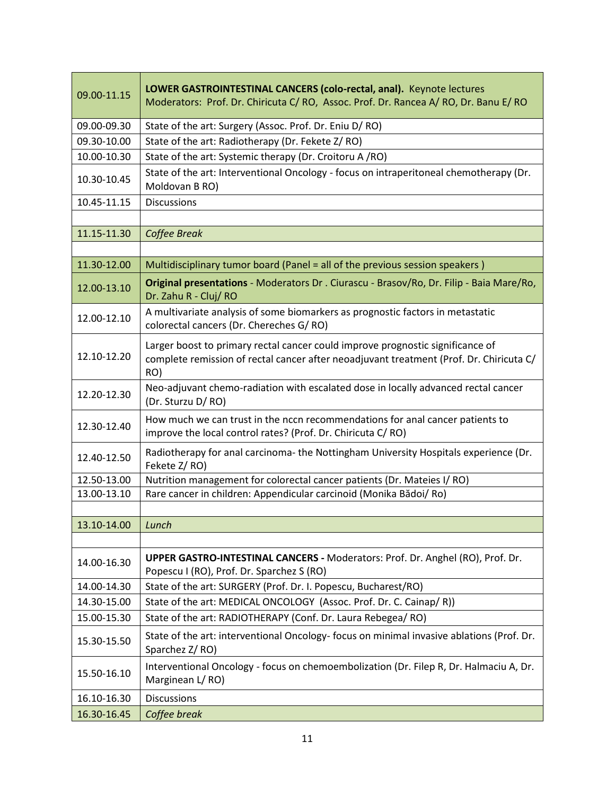| 09.00-11.15       | LOWER GASTROINTESTINAL CANCERS (colo-rectal, anal). Keynote lectures<br>Moderators: Prof. Dr. Chiricuta C/RO, Assoc. Prof. Dr. Rancea A/RO, Dr. Banu E/RO                        |
|-------------------|----------------------------------------------------------------------------------------------------------------------------------------------------------------------------------|
| 09.00-09.30       | State of the art: Surgery (Assoc. Prof. Dr. Eniu D/RO)                                                                                                                           |
| 09.30-10.00       | State of the art: Radiotherapy (Dr. Fekete Z/RO)                                                                                                                                 |
| 10.00-10.30       | State of the art: Systemic therapy (Dr. Croitoru A/RO)                                                                                                                           |
| 10.30-10.45       | State of the art: Interventional Oncology - focus on intraperitoneal chemotherapy (Dr.<br>Moldovan B RO)                                                                         |
| 10.45-11.15       | <b>Discussions</b>                                                                                                                                                               |
|                   |                                                                                                                                                                                  |
| 11.15-11.30       | Coffee Break                                                                                                                                                                     |
|                   |                                                                                                                                                                                  |
| 11.30-12.00       | Multidisciplinary tumor board (Panel = all of the previous session speakers)                                                                                                     |
| 12.00-13.10       | Original presentations - Moderators Dr. Ciurascu - Brasov/Ro, Dr. Filip - Baia Mare/Ro,<br>Dr. Zahu R - Cluj/ RO                                                                 |
| 12.00-12.10       | A multivariate analysis of some biomarkers as prognostic factors in metastatic<br>colorectal cancers (Dr. Chereches G/RO)                                                        |
| 12.10-12.20       | Larger boost to primary rectal cancer could improve prognostic significance of<br>complete remission of rectal cancer after neoadjuvant treatment (Prof. Dr. Chiricuta C/<br>RO) |
| 12.20-12.30       | Neo-adjuvant chemo-radiation with escalated dose in locally advanced rectal cancer<br>(Dr. Sturzu D/RO)                                                                          |
| 12.30-12.40       | How much we can trust in the nccn recommendations for anal cancer patients to<br>improve the local control rates? (Prof. Dr. Chiricuta C/RO)                                     |
| 12.40-12.50       | Radiotherapy for anal carcinoma- the Nottingham University Hospitals experience (Dr.<br>Fekete Z/RO)                                                                             |
| 12.50-13.00       | Nutrition management for colorectal cancer patients (Dr. Mateies I/RO)                                                                                                           |
| 13.00-13.10       | Rare cancer in children: Appendicular carcinoid (Monika Bădoi/ Ro)                                                                                                               |
|                   |                                                                                                                                                                                  |
| 13.10-14.00 Lunch |                                                                                                                                                                                  |
|                   |                                                                                                                                                                                  |
| 14.00-16.30       | UPPER GASTRO-INTESTINAL CANCERS - Moderators: Prof. Dr. Anghel (RO), Prof. Dr.<br>Popescu I (RO), Prof. Dr. Sparchez S (RO)                                                      |
| 14.00-14.30       | State of the art: SURGERY (Prof. Dr. I. Popescu, Bucharest/RO)                                                                                                                   |
| 14.30-15.00       | State of the art: MEDICAL ONCOLOGY (Assoc. Prof. Dr. C. Cainap/R))                                                                                                               |
| 15.00-15.30       | State of the art: RADIOTHERAPY (Conf. Dr. Laura Rebegea/ RO)                                                                                                                     |
| 15.30-15.50       | State of the art: interventional Oncology- focus on minimal invasive ablations (Prof. Dr.<br>Sparchez Z/RO)                                                                      |
| 15.50-16.10       | Interventional Oncology - focus on chemoembolization (Dr. Filep R, Dr. Halmaciu A, Dr.<br>Marginean L/RO)                                                                        |
| 16.10-16.30       | <b>Discussions</b>                                                                                                                                                               |
| 16.30-16.45       | Coffee break                                                                                                                                                                     |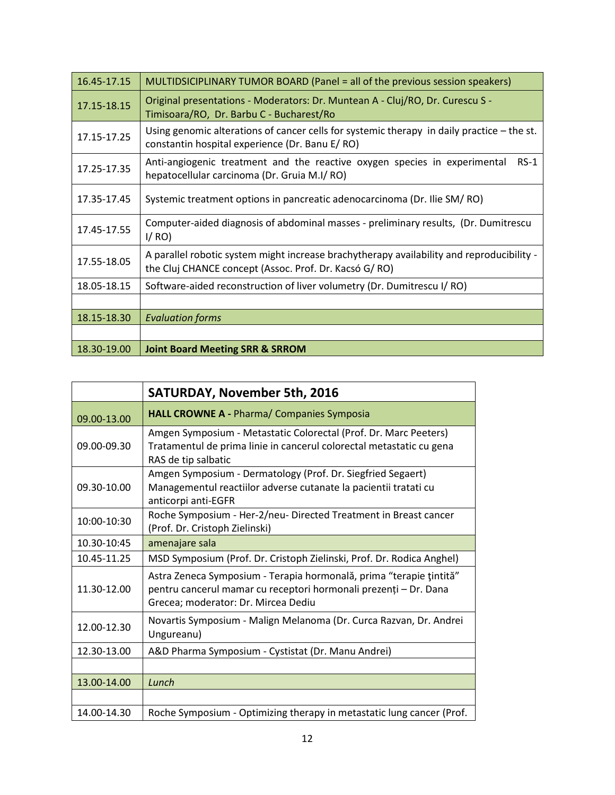| 16.45-17.15 | MULTIDSICIPLINARY TUMOR BOARD (Panel = all of the previous session speakers)                                                                       |  |
|-------------|----------------------------------------------------------------------------------------------------------------------------------------------------|--|
| 17.15-18.15 | Original presentations - Moderators: Dr. Muntean A - Cluj/RO, Dr. Curescu S -<br>Timisoara/RO, Dr. Barbu C - Bucharest/Ro                          |  |
| 17.15-17.25 | Using genomic alterations of cancer cells for systemic therapy in daily practice – the st.<br>constantin hospital experience (Dr. Banu E/RO)       |  |
| 17.25-17.35 | Anti-angiogenic treatment and the reactive oxygen species in experimental<br>$RS-1$<br>hepatocellular carcinoma (Dr. Gruia M.I/RO)                 |  |
| 17.35-17.45 | Systemic treatment options in pancreatic adenocarcinoma (Dr. Ilie SM/RO)                                                                           |  |
| 17.45-17.55 | Computer-aided diagnosis of abdominal masses - preliminary results, (Dr. Dumitrescu<br>I/RO                                                        |  |
| 17.55-18.05 | A parallel robotic system might increase brachytherapy availability and reproducibility -<br>the Cluj CHANCE concept (Assoc. Prof. Dr. Kacsó G/RO) |  |
| 18.05-18.15 | Software-aided reconstruction of liver volumetry (Dr. Dumitrescu I/RO)                                                                             |  |
|             |                                                                                                                                                    |  |
| 18.15-18.30 | <b>Evaluation forms</b>                                                                                                                            |  |
|             |                                                                                                                                                    |  |
| 18.30-19.00 | <b>Joint Board Meeting SRR &amp; SRROM</b>                                                                                                         |  |

|             | <b>SATURDAY, November 5th, 2016</b>                                                                                                                                            |
|-------------|--------------------------------------------------------------------------------------------------------------------------------------------------------------------------------|
| 09.00-13.00 | <b>HALL CROWNE A - Pharma/ Companies Symposia</b>                                                                                                                              |
| 09.00-09.30 | Amgen Symposium - Metastatic Colorectal (Prof. Dr. Marc Peeters)<br>Tratamentul de prima linie in cancerul colorectal metastatic cu gena<br>RAS de tip salbatic                |
| 09.30-10.00 | Amgen Symposium - Dermatology (Prof. Dr. Siegfried Segaert)<br>Managementul reactiilor adverse cutanate la pacientii tratati cu<br>anticorpi anti-EGFR                         |
| 10:00-10:30 | Roche Symposium - Her-2/neu- Directed Treatment in Breast cancer<br>(Prof. Dr. Cristoph Zielinski)                                                                             |
| 10.30-10:45 | amenajare sala                                                                                                                                                                 |
| 10.45-11.25 | MSD Symposium (Prof. Dr. Cristoph Zielinski, Prof. Dr. Rodica Anghel)                                                                                                          |
| 11.30-12.00 | Astra Zeneca Symposium - Terapia hormonală, prima "terapie țintită"<br>pentru cancerul mamar cu receptori hormonali prezenți - Dr. Dana<br>Grecea; moderator: Dr. Mircea Dediu |
| 12.00-12.30 | Novartis Symposium - Malign Melanoma (Dr. Curca Razvan, Dr. Andrei<br>Ungureanu)                                                                                               |
| 12.30-13.00 | A&D Pharma Symposium - Cystistat (Dr. Manu Andrei)                                                                                                                             |
|             |                                                                                                                                                                                |
| 13.00-14.00 | Lunch                                                                                                                                                                          |
|             |                                                                                                                                                                                |
| 14.00-14.30 | Roche Symposium - Optimizing therapy in metastatic lung cancer (Prof.                                                                                                          |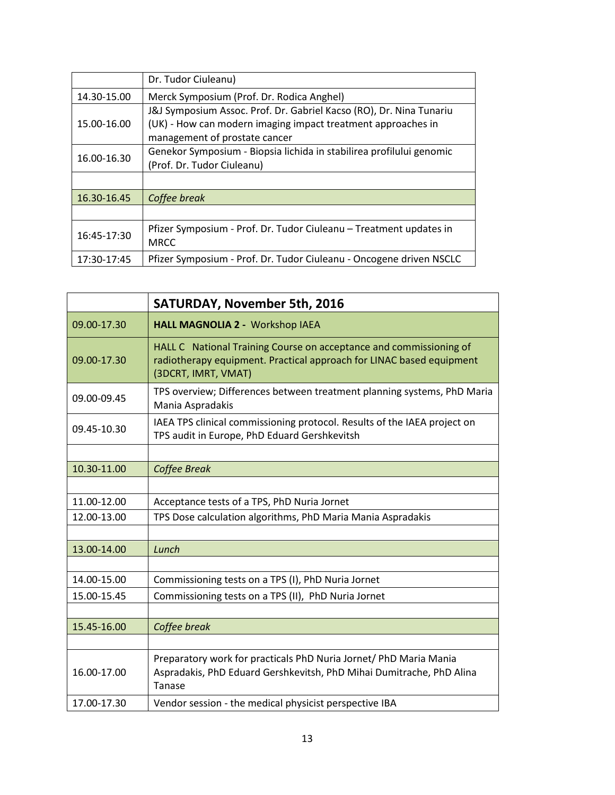|             | Dr. Tudor Ciuleanu)                                                                                                                                                  |  |
|-------------|----------------------------------------------------------------------------------------------------------------------------------------------------------------------|--|
| 14.30-15.00 | Merck Symposium (Prof. Dr. Rodica Anghel)                                                                                                                            |  |
| 15.00-16.00 | J&J Symposium Assoc. Prof. Dr. Gabriel Kacso (RO), Dr. Nina Tunariu<br>(UK) - How can modern imaging impact treatment approaches in<br>management of prostate cancer |  |
| 16.00-16.30 | Genekor Symposium - Biopsia lichida in stabilirea profilului genomic<br>(Prof. Dr. Tudor Ciuleanu)                                                                   |  |
|             |                                                                                                                                                                      |  |
| 16.30-16.45 | Coffee break                                                                                                                                                         |  |
|             |                                                                                                                                                                      |  |
| 16:45-17:30 | Pfizer Symposium - Prof. Dr. Tudor Ciuleanu - Treatment updates in<br><b>MRCC</b>                                                                                    |  |
| 17:30-17:45 | Pfizer Symposium - Prof. Dr. Tudor Ciuleanu - Oncogene driven NSCLC                                                                                                  |  |

|             | <b>SATURDAY, November 5th, 2016</b>                                                                                                                               |
|-------------|-------------------------------------------------------------------------------------------------------------------------------------------------------------------|
| 09.00-17.30 | HALL MAGNOLIA 2 - Workshop IAEA                                                                                                                                   |
| 09.00-17.30 | HALL C National Training Course on acceptance and commissioning of<br>radiotherapy equipment. Practical approach for LINAC based equipment<br>(3DCRT, IMRT, VMAT) |
| 09.00-09.45 | TPS overview; Differences between treatment planning systems, PhD Maria<br>Mania Aspradakis                                                                       |
| 09.45-10.30 | IAEA TPS clinical commissioning protocol. Results of the IAEA project on<br>TPS audit in Europe, PhD Eduard Gershkevitsh                                          |
|             |                                                                                                                                                                   |
| 10.30-11.00 | Coffee Break                                                                                                                                                      |
|             |                                                                                                                                                                   |
| 11.00-12.00 | Acceptance tests of a TPS, PhD Nuria Jornet                                                                                                                       |
| 12.00-13.00 | TPS Dose calculation algorithms, PhD Maria Mania Aspradakis                                                                                                       |
|             |                                                                                                                                                                   |
| 13.00-14.00 | Lunch                                                                                                                                                             |
|             |                                                                                                                                                                   |
| 14.00-15.00 | Commissioning tests on a TPS (I), PhD Nuria Jornet                                                                                                                |
| 15.00-15.45 | Commissioning tests on a TPS (II), PhD Nuria Jornet                                                                                                               |
|             |                                                                                                                                                                   |
| 15.45-16.00 | Coffee break                                                                                                                                                      |
|             |                                                                                                                                                                   |
| 16.00-17.00 | Preparatory work for practicals PhD Nuria Jornet/ PhD Maria Mania<br>Aspradakis, PhD Eduard Gershkevitsh, PhD Mihai Dumitrache, PhD Alina<br>Tanase               |
| 17.00-17.30 | Vendor session - the medical physicist perspective IBA                                                                                                            |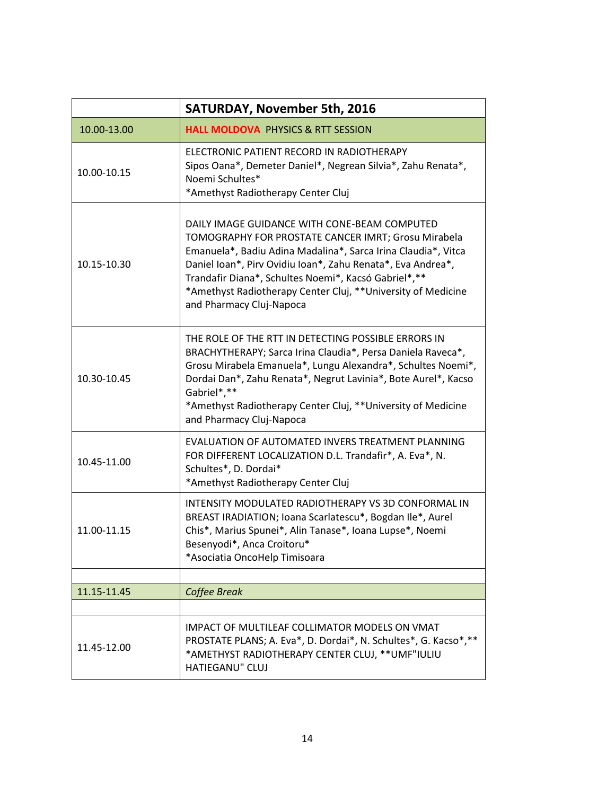|             | <b>SATURDAY, November 5th, 2016</b>                                                                                                                                                                                                                                                                                                                                                     |
|-------------|-----------------------------------------------------------------------------------------------------------------------------------------------------------------------------------------------------------------------------------------------------------------------------------------------------------------------------------------------------------------------------------------|
| 10.00-13.00 | <b>HALL MOLDOVA PHYSICS &amp; RTT SESSION</b>                                                                                                                                                                                                                                                                                                                                           |
| 10.00-10.15 | ELECTRONIC PATIENT RECORD IN RADIOTHERAPY<br>Sipos Oana*, Demeter Daniel*, Negrean Silvia*, Zahu Renata*,<br>Noemi Schultes*<br>*Amethyst Radiotherapy Center Cluj                                                                                                                                                                                                                      |
| 10.15-10.30 | DAILY IMAGE GUIDANCE WITH CONE-BEAM COMPUTED<br>TOMOGRAPHY FOR PROSTATE CANCER IMRT; Grosu Mirabela<br>Emanuela*, Badiu Adina Madalina*, Sarca Irina Claudia*, Vitca<br>Daniel Ioan*, Pirv Ovidiu Ioan*, Zahu Renata*, Eva Andrea*,<br>Trandafir Diana*, Schultes Noemi*, Kacsó Gabriel*,**<br>*Amethyst Radiotherapy Center Cluj, **University of Medicine<br>and Pharmacy Cluj-Napoca |
| 10.30-10.45 | THE ROLE OF THE RTT IN DETECTING POSSIBLE ERRORS IN<br>BRACHYTHERAPY; Sarca Irina Claudia*, Persa Daniela Raveca*,<br>Grosu Mirabela Emanuela*, Lungu Alexandra*, Schultes Noemi*,<br>Dordai Dan*, Zahu Renata*, Negrut Lavinia*, Bote Aurel*, Kacso<br>Gabriel*,**<br>*Amethyst Radiotherapy Center Cluj, **University of Medicine<br>and Pharmacy Cluj-Napoca                         |
| 10.45-11.00 | EVALUATION OF AUTOMATED INVERS TREATMENT PLANNING<br>FOR DIFFERENT LOCALIZATION D.L. Trandafir*, A. Eva*, N.<br>Schultes*, D. Dordai*<br>*Amethyst Radiotherapy Center Cluj                                                                                                                                                                                                             |
| 11.00-11.15 | INTENSITY MODULATED RADIOTHERAPY VS 3D CONFORMAL IN<br>BREAST IRADIATION; Ioana Scarlatescu*, Bogdan Ile*, Aurel<br>Chis*, Marius Spunei*, Alin Tanase*, Ioana Lupse*, Noemi<br>Besenyodi*, Anca Croitoru*<br>*Asociatia OncoHelp Timisoara                                                                                                                                             |
|             |                                                                                                                                                                                                                                                                                                                                                                                         |
| 11.15-11.45 | Coffee Break                                                                                                                                                                                                                                                                                                                                                                            |
| 11.45-12.00 | IMPACT OF MULTILEAF COLLIMATOR MODELS ON VMAT<br>PROSTATE PLANS; A. Eva*, D. Dordai*, N. Schultes*, G. Kacso*, **<br>*AMETHYST RADIOTHERAPY CENTER CLUJ, ** UMF"IULIU<br><b>HATIEGANU" CLUJ</b>                                                                                                                                                                                         |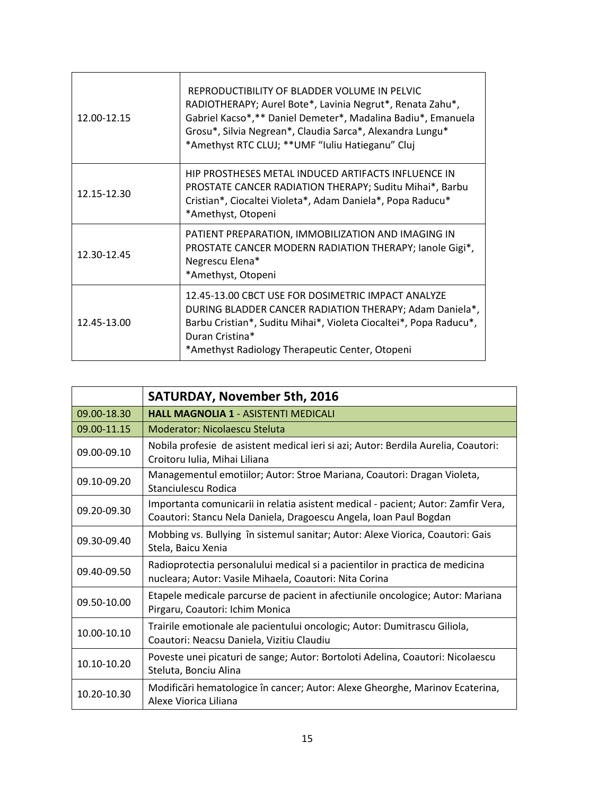| 12.00-12.15 | REPRODUCTIBILITY OF BLADDER VOLUME IN PELVIC<br>RADIOTHERAPY; Aurel Bote*, Lavinia Negrut*, Renata Zahu*,<br>Gabriel Kacso*,** Daniel Demeter*, Madalina Badiu*, Emanuela<br>Grosu*, Silvia Negrean*, Claudia Sarca*, Alexandra Lungu*<br>*Amethyst RTC CLUJ; ** UMF "Iuliu Hatieganu" Cluj |
|-------------|---------------------------------------------------------------------------------------------------------------------------------------------------------------------------------------------------------------------------------------------------------------------------------------------|
| 12.15-12.30 | HIP PROSTHESES METAL INDUCED ARTIFACTS INFLUENCE IN<br><b>PROSTATE CANCER RADIATION THERAPY; Suditu Mihai*, Barbu</b><br>Cristian*, Ciocaltei Violeta*, Adam Daniela*, Popa Raducu*<br>*Amethyst, Otopeni                                                                                   |
| 12.30-12.45 | PATIENT PREPARATION, IMMOBILIZATION AND IMAGING IN<br>PROSTATE CANCER MODERN RADIATION THERAPY; lanole Gigi*,<br>Negrescu Elena*<br>*Amethyst, Otopeni                                                                                                                                      |
| 12.45-13.00 | 12.45-13.00 CBCT USE FOR DOSIMETRIC IMPACT ANALYZE<br>DURING BLADDER CANCER RADIATION THERAPY; Adam Daniela*,<br>Barbu Cristian*, Suditu Mihai*, Violeta Ciocaltei*, Popa Raducu*,<br>Duran Cristina*<br>*Amethyst Radiology Therapeutic Center, Otopeni                                    |

|             | <b>SATURDAY, November 5th, 2016</b>                                                                                                                    |
|-------------|--------------------------------------------------------------------------------------------------------------------------------------------------------|
| 09.00-18.30 | <b>HALL MAGNOLIA 1 - ASISTENTI MEDICALI</b>                                                                                                            |
| 09.00-11.15 | Moderator: Nicolaescu Steluta                                                                                                                          |
| 09.00-09.10 | Nobila profesie de asistent medical ieri si azi; Autor: Berdila Aurelia, Coautori:<br>Croitoru Iulia, Mihai Liliana                                    |
| 09.10-09.20 | Managementul emotiilor; Autor: Stroe Mariana, Coautori: Dragan Violeta,<br>Stanciulescu Rodica                                                         |
| 09.20-09.30 | Importanta comunicarii in relatia asistent medical - pacient; Autor: Zamfir Vera,<br>Coautori: Stancu Nela Daniela, Dragoescu Angela, Ioan Paul Bogdan |
| 09.30-09.40 | Mobbing vs. Bullying în sistemul sanitar; Autor: Alexe Viorica, Coautori: Gais<br>Stela, Baicu Xenia                                                   |
| 09.40-09.50 | Radioprotectia personalului medical si a pacientilor in practica de medicina<br>nucleara; Autor: Vasile Mihaela, Coautori: Nita Corina                 |
| 09.50-10.00 | Etapele medicale parcurse de pacient in afectiunile oncologice; Autor: Mariana<br>Pirgaru, Coautori: Ichim Monica                                      |
| 10.00-10.10 | Trairile emotionale ale pacientului oncologic; Autor: Dumitrascu Giliola,<br>Coautori: Neacsu Daniela, Vizitiu Claudiu                                 |
| 10.10-10.20 | Poveste unei picaturi de sange; Autor: Bortoloti Adelina, Coautori: Nicolaescu<br>Steluta, Bonciu Alina                                                |
| 10.20-10.30 | Modificări hematologice în cancer; Autor: Alexe Gheorghe, Marinov Ecaterina,<br>Alexe Viorica Liliana                                                  |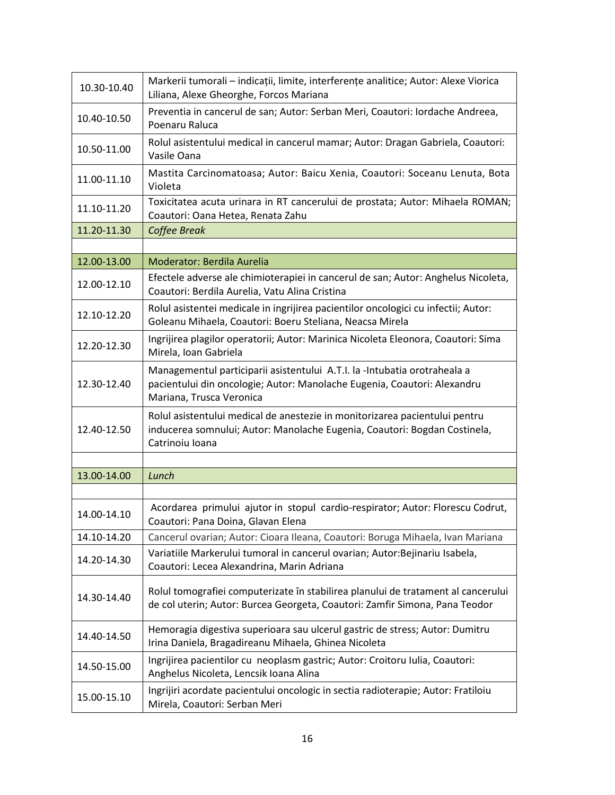| 10.30-10.40 | Markerii tumorali - indicații, limite, interferențe analitice; Autor: Alexe Viorica<br>Liliana, Alexe Gheorghe, Forcos Mariana                                                    |
|-------------|-----------------------------------------------------------------------------------------------------------------------------------------------------------------------------------|
| 10.40-10.50 | Preventia in cancerul de san; Autor: Serban Meri, Coautori: Iordache Andreea,<br>Poenaru Raluca                                                                                   |
| 10.50-11.00 | Rolul asistentului medical in cancerul mamar; Autor: Dragan Gabriela, Coautori:<br>Vasile Oana                                                                                    |
| 11.00-11.10 | Mastita Carcinomatoasa; Autor: Baicu Xenia, Coautori: Soceanu Lenuta, Bota<br>Violeta                                                                                             |
| 11.10-11.20 | Toxicitatea acuta urinara in RT cancerului de prostata; Autor: Mihaela ROMAN;<br>Coautori: Oana Hetea, Renata Zahu                                                                |
| 11.20-11.30 | Coffee Break                                                                                                                                                                      |
|             |                                                                                                                                                                                   |
| 12.00-13.00 | Moderator: Berdila Aurelia                                                                                                                                                        |
| 12.00-12.10 | Efectele adverse ale chimioterapiei in cancerul de san; Autor: Anghelus Nicoleta,<br>Coautori: Berdila Aurelia, Vatu Alina Cristina                                               |
| 12.10-12.20 | Rolul asistentei medicale in ingrijirea pacientilor oncologici cu infectii; Autor:<br>Goleanu Mihaela, Coautori: Boeru Steliana, Neacsa Mirela                                    |
| 12.20-12.30 | Ingrijirea plagilor operatorii; Autor: Marinica Nicoleta Eleonora, Coautori: Sima<br>Mirela, Ioan Gabriela                                                                        |
| 12.30-12.40 | Managementul participarii asistentului A.T.I. la -Intubatia orotraheala a<br>pacientului din oncologie; Autor: Manolache Eugenia, Coautori: Alexandru<br>Mariana, Trusca Veronica |
| 12.40-12.50 | Rolul asistentului medical de anestezie in monitorizarea pacientului pentru<br>inducerea somnului; Autor: Manolache Eugenia, Coautori: Bogdan Costinela,<br>Catrinoiu Ioana       |
|             |                                                                                                                                                                                   |
| 13.00-14.00 | Lunch                                                                                                                                                                             |
|             |                                                                                                                                                                                   |
| 14.00-14.10 | Acordarea primului ajutor in stopul cardio-respirator; Autor: Florescu Codrut,<br>Coautori: Pana Doina, Glavan Elena                                                              |
| 14.10-14.20 | Cancerul ovarian; Autor: Cioara Ileana, Coautori: Boruga Mihaela, Ivan Mariana                                                                                                    |
| 14.20-14.30 | Variatiile Markerului tumoral in cancerul ovarian; Autor: Bejinariu Isabela,<br>Coautori: Lecea Alexandrina, Marin Adriana                                                        |
| 14.30-14.40 | Rolul tomografiei computerizate în stabilirea planului de tratament al cancerului<br>de col uterin; Autor: Burcea Georgeta, Coautori: Zamfir Simona, Pana Teodor                  |
| 14.40-14.50 | Hemoragia digestiva superioara sau ulcerul gastric de stress; Autor: Dumitru<br>Irina Daniela, Bragadireanu Mihaela, Ghinea Nicoleta                                              |
| 14.50-15.00 | Ingrijirea pacientilor cu neoplasm gastric; Autor: Croitoru Iulia, Coautori:<br>Anghelus Nicoleta, Lencsik Ioana Alina                                                            |
| 15.00-15.10 | Ingrijiri acordate pacientului oncologic in sectia radioterapie; Autor: Fratiloiu<br>Mirela, Coautori: Serban Meri                                                                |